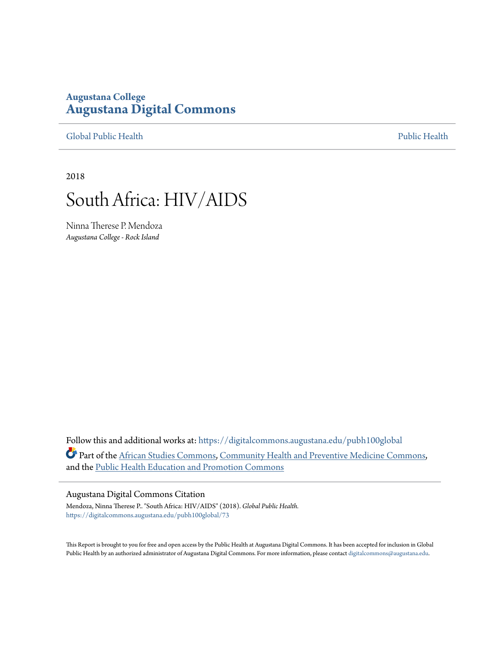## **Augustana College [Augustana Digital Commons](https://digitalcommons.augustana.edu?utm_source=digitalcommons.augustana.edu%2Fpubh100global%2F73&utm_medium=PDF&utm_campaign=PDFCoverPages)**

[Global Public Health](https://digitalcommons.augustana.edu/pubh100global?utm_source=digitalcommons.augustana.edu%2Fpubh100global%2F73&utm_medium=PDF&utm_campaign=PDFCoverPages) [Public Health](https://digitalcommons.augustana.edu/publichealth?utm_source=digitalcommons.augustana.edu%2Fpubh100global%2F73&utm_medium=PDF&utm_campaign=PDFCoverPages)

2018

## South Africa: HIV/AIDS

Ninna Therese P. Mendoza *Augustana College - Rock Island*

Follow this and additional works at: [https://digitalcommons.augustana.edu/pubh100global](https://digitalcommons.augustana.edu/pubh100global?utm_source=digitalcommons.augustana.edu%2Fpubh100global%2F73&utm_medium=PDF&utm_campaign=PDFCoverPages) Part of the [African Studies Commons](http://network.bepress.com/hgg/discipline/1043?utm_source=digitalcommons.augustana.edu%2Fpubh100global%2F73&utm_medium=PDF&utm_campaign=PDFCoverPages), [Community Health and Preventive Medicine Commons](http://network.bepress.com/hgg/discipline/744?utm_source=digitalcommons.augustana.edu%2Fpubh100global%2F73&utm_medium=PDF&utm_campaign=PDFCoverPages), and the [Public Health Education and Promotion Commons](http://network.bepress.com/hgg/discipline/743?utm_source=digitalcommons.augustana.edu%2Fpubh100global%2F73&utm_medium=PDF&utm_campaign=PDFCoverPages)

## Augustana Digital Commons Citation

Mendoza, Ninna Therese P.. "South Africa: HIV/AIDS" (2018). *Global Public Health.* [https://digitalcommons.augustana.edu/pubh100global/73](https://digitalcommons.augustana.edu/pubh100global/73?utm_source=digitalcommons.augustana.edu%2Fpubh100global%2F73&utm_medium=PDF&utm_campaign=PDFCoverPages)

This Report is brought to you for free and open access by the Public Health at Augustana Digital Commons. It has been accepted for inclusion in Global Public Health by an authorized administrator of Augustana Digital Commons. For more information, please contact [digitalcommons@augustana.edu.](mailto:digitalcommons@augustana.edu)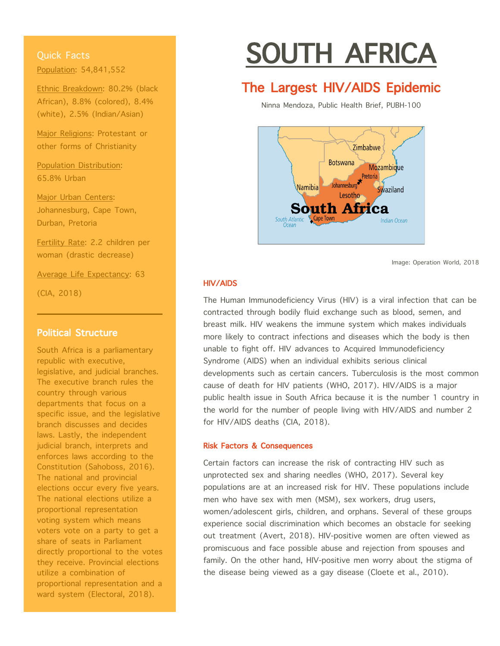Quick Facts Population: 54,841,552

Ethnic Breakdown: 80.2% (black African), 8.8% (colored), 8.4% (white), 2.5% (Indian/Asian)

Major Religions: Protestant or other forms of Christianity

Population Distribution: 65.8% Urban

Major Urban Centers: Johannesburg, Cape Town, Durban, Pretoria

Fertility Rate: 2.2 children per woman (drastic decrease)

Average Life Expectancy: 63

(CIA, 2018)

## Political Structure

South Africa is a parliamentary republic with executive, legislative, and judicial branches. The executive branch rules the country through various departments that focus on a specific issue, and the legislative branch discusses and decides laws. Lastly, the independent judicial branch, interprets and enforces laws according to the Constitution (Sahoboss, 2016). The national and provincial elections occur every five years. The national elections utilize a proportional representation voting system which means voters vote on a party to get a share of seats in Parliament directly proportional to the votes they receive. Provincial elections utilize a combination of proportional representation and a ward system (Electoral, 2018).

# SOUTH AFRICA

## **The Largest HIV/AIDS Epidemic**<br>Ninna Mendoza, Public Health Brief, PUBH-100



Image: Operation World, 2018

## HIV/AIDS

The Human Immunodeficiency Virus (HIV) is a viral infection that can be contracted through bodily fluid exchange such as blood, semen, and breast milk. HIV weakens the immune system which makes individuals more likely to contract infections and diseases which the body is then unable to fight off. HIV advances to Acquired Immunodeficiency Syndrome (AIDS) when an individual exhibits serious clinical developments such as certain cancers. Tuberculosis is the most common cause of death for HIV patients (WHO, 2017). HIV/AIDS is a major public health issue in South Africa because it is the number 1 country in the world for the number of people living with HIV/AIDS and number 2 for HIV/AIDS deaths (CIA, 2018).

## Risk Factors & Consequences

Certain factors can increase the risk of contracting HIV such as unprotected sex and sharing needles (WHO, 2017). Several key populations are at an increased risk for HIV. These populations include men who have sex with men (MSM), sex workers, drug users, women/adolescent girls, children, and orphans. Several of these groups experience social discrimination which becomes an obstacle for seeking out treatment (Avert, 2018). HIV-positive women are often viewed as promiscuous and face possible abuse and rejection from spouses and family. On the other hand, HIV-positive men worry about the stigma of the disease being viewed as a gay disease (Cloete et al., 2010).